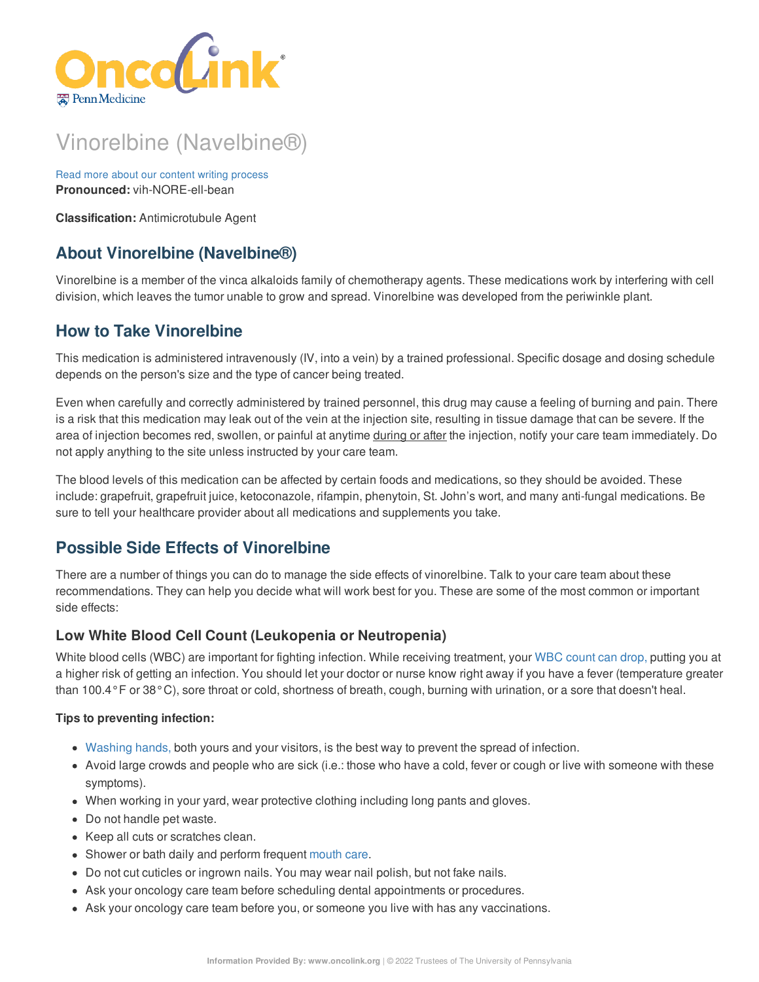

# Vinorelbine (Navelbine®)

Read more about our content writing [process](https://www.oncolink.org/chemo-printer/20958?theme=oncolink/about/content) **Pronounced:** vih-NORE-ell-bean

**Classification:** Antimicrotubule Agent

# **About Vinorelbine (Navelbine®)**

Vinorelbine is a member of the vinca alkaloids family of chemotherapy agents. These medications work by interfering with cell division, which leaves the tumor unable to grow and spread. Vinorelbine was developed from the periwinkle plant.

# **How to Take Vinorelbine**

This medication is administered intravenously (IV, into a vein) by a trained professional. Specific dosage and dosing schedule depends on the person's size and the type of cancer being treated.

Even when carefully and correctly administered by trained personnel, this drug may cause a feeling of burning and pain. There is a risk that this medication may leak out of the vein at the injection site, resulting in tissue damage that can be severe. If the area of injection becomes red, swollen, or painful at anytime during or after the injection, notify your care team immediately. Do not apply anything to the site unless instructed by your care team.

The blood levels of this medication can be affected by certain foods and medications, so they should be avoided. These include: grapefruit, grapefruit juice, ketoconazole, rifampin, phenytoin, St. John's wort, and many anti-fungal medications. Be sure to tell your healthcare provider about all medications and supplements you take.

# **Possible Side Effects of Vinorelbine**

There are a number of things you can do to manage the side effects of vinorelbine. Talk to your care team about these recommendations. They can help you decide what will work best for you. These are some of the most common or important side effects:

## **Low White Blood Cell Count (Leukopenia or Neutropenia)**

White blood cells (WBC) are important for fighting infection. While receiving treatment, your WBC [count](https://www.oncolink.org/chemo-printer/20958?theme=oncolink/support/side-effects/low-blood-counts/neutropenia) can drop, putting you at a higher risk of getting an infection. You should let your doctor or nurse know right away if you have a fever (temperature greater than 100.4°F or 38°C), sore throat or cold, shortness of breath, cough, burning with urination, or a sore that doesn't heal.

#### **Tips to preventing infection:**

- [Washing](https://www.oncolink.org/chemo-printer/20958?theme=oncolink/cancer-treatment/hospital-helpers/hand-hygiene-hand-washing) hands, both yours and your visitors, is the best way to prevent the spread of infection.
- Avoid large crowds and people who are sick (i.e.: those who have a cold, fever or cough or live with someone with these symptoms).
- When working in your yard, wear protective clothing including long pants and gloves.
- Do not handle pet waste.
- Keep all cuts or scratches clean.
- Shower or bath daily and perform frequent [mouth](https://www.oncolink.org/chemo-printer/20958?theme=oncolink/support/side-effects/gastrointestinal-side-effects/mucositis/mucositis-mouth-sores-oral-care-tip-sheet) care.
- Do not cut cuticles or ingrown nails. You may wear nail polish, but not fake nails.
- Ask your oncology care team before scheduling dental appointments or procedures.
- Ask your oncology care team before you, or someone you live with has any vaccinations.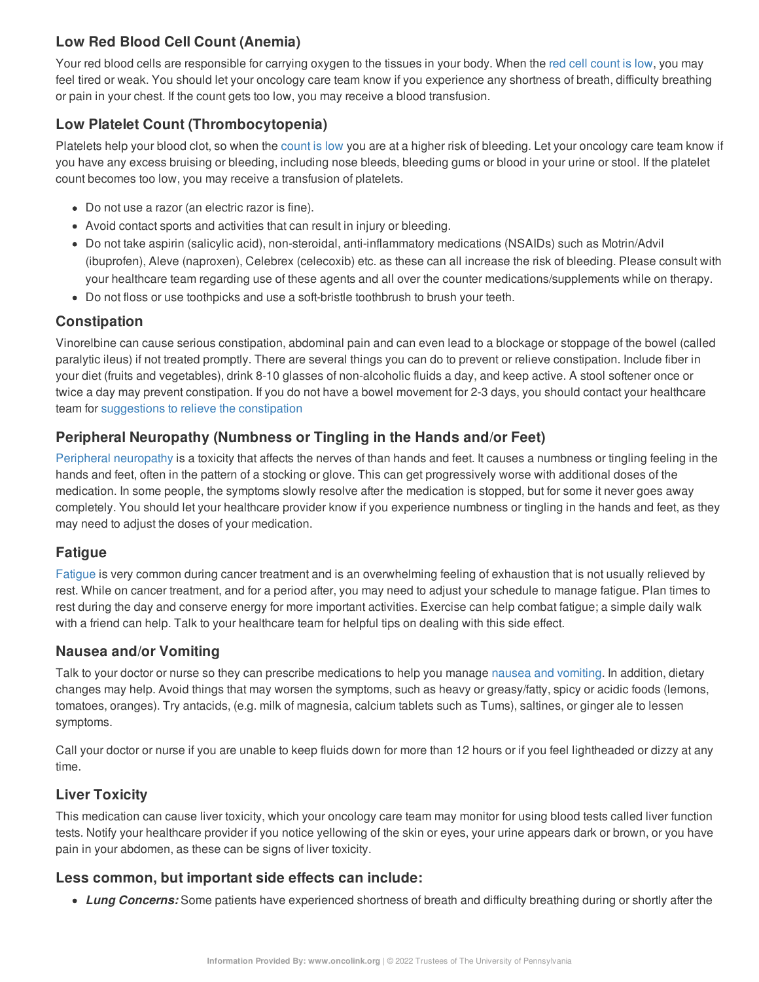# **Low Red Blood Cell Count (Anemia)**

Your red blood cells are responsible for carrying oxygen to the tissues in your body. When the red cell [count](https://www.oncolink.org/chemo-printer/20958?theme=oncolink/support/side-effects/low-blood-counts/low-red-blood-cell-count-anemia) is low, you may feel tired or weak. You should let your oncology care team know if you experience any shortness of breath, difficulty breathing or pain in your chest. If the count gets too low, you may receive a blood transfusion.

# **Low Platelet Count (Thrombocytopenia)**

Platelets help your blood clot, so when the [count](https://www.oncolink.org/chemo-printer/20958?theme=oncolink/support/side-effects/low-blood-counts/low-platelet-count-thrombocytopenia) is low you are at a higher risk of bleeding. Let your oncology care team know if you have any excess bruising or bleeding, including nose bleeds, bleeding gums or blood in your urine or stool. If the platelet count becomes too low, you may receive a transfusion of platelets.

- Do not use a razor (an electric razor is fine).
- Avoid contact sports and activities that can result in injury or bleeding.
- Do not take aspirin (salicylic acid), non-steroidal, anti-inflammatory medications (NSAIDs) such as Motrin/Advil (ibuprofen), Aleve (naproxen), Celebrex (celecoxib) etc. as these can all increase the risk of bleeding. Please consult with your healthcare team regarding use of these agents and all over the counter medications/supplements while on therapy.
- Do not floss or use toothpicks and use a soft-bristle toothbrush to brush your teeth.

# **Constipation**

Vinorelbine can cause serious constipation, abdominal pain and can even lead to a blockage or stoppage of the bowel (called paralytic ileus) if not treated promptly. There are several things you can do to prevent or relieve constipation. Include fiber in your diet (fruits and vegetables), drink 8-10 glasses of non-alcoholic fluids a day, and keep active. A stool softener once or twice a day may prevent constipation. If you do not have a bowel movement for 2-3 days, you should contact your healthcare team for [suggestions](https://www.oncolink.org/chemo-printer/20958?theme=oncolink/support/side-effects/gastrointestinal-side-effects/constipation) to relieve the constipation

# **Peripheral Neuropathy (Numbness or Tingling in the Hands and/or Feet)**

Peripheral [neuropathy](https://www.oncolink.org/chemo-printer/20958?theme=oncolink/support/side-effects/neurological-side-effects/peripheral-neuropathy-nerve-damage/peripheral-neuropathy-nerve-damage) is a toxicity that affects the nerves of than hands and feet. It causes a numbness or tingling feeling in the hands and feet, often in the pattern of a stocking or glove. This can get progressively worse with additional doses of the medication. In some people, the symptoms slowly resolve after the medication is stopped, but for some it never goes away completely. You should let your healthcare provider know if you experience numbness or tingling in the hands and feet, as they may need to adjust the doses of your medication.

## **Fatigue**

[Fatigue](https://www.oncolink.org/chemo-printer/20958?theme=oncolink/support/side-effects/other-side-effects/fatigue-and-cancer/managing-fatigue) is very common during cancer treatment and is an overwhelming feeling of exhaustion that is not usually relieved by rest. While on cancer treatment, and for a period after, you may need to adjust your schedule to manage fatigue. Plan times to rest during the day and conserve energy for more important activities. Exercise can help combat fatigue; a simple daily walk with a friend can help. Talk to your healthcare team for helpful tips on dealing with this side effect.

## **Nausea and/or Vomiting**

Talk to your doctor or nurse so they can prescribe medications to help you manage nausea and [vomiting](https://www.oncolink.org/chemo-printer/20958?theme=oncolink/support/side-effects/gastrointestinal-side-effects/nausea-and-vomiting). In addition, dietary changes may help. Avoid things that may worsen the symptoms, such as heavy or greasy/fatty, spicy or acidic foods (lemons, tomatoes, oranges). Try antacids, (e.g. milk of magnesia, calcium tablets such as Tums), saltines, or ginger ale to lessen symptoms.

Call your doctor or nurse if you are unable to keep fluids down for more than 12 hours or if you feel lightheaded or dizzy at any time.

# **Liver Toxicity**

This medication can cause liver toxicity, which your oncology care team may monitor for using blood tests called liver function tests. Notify your healthcare provider if you notice yellowing of the skin or eyes, your urine appears dark or brown, or you have pain in your abdomen, as these can be signs of liver toxicity.

## **Less common, but important side effects can include:**

*Lung Concerns:* Some patients have experienced shortness of breath and difficulty breathing during or shortly after the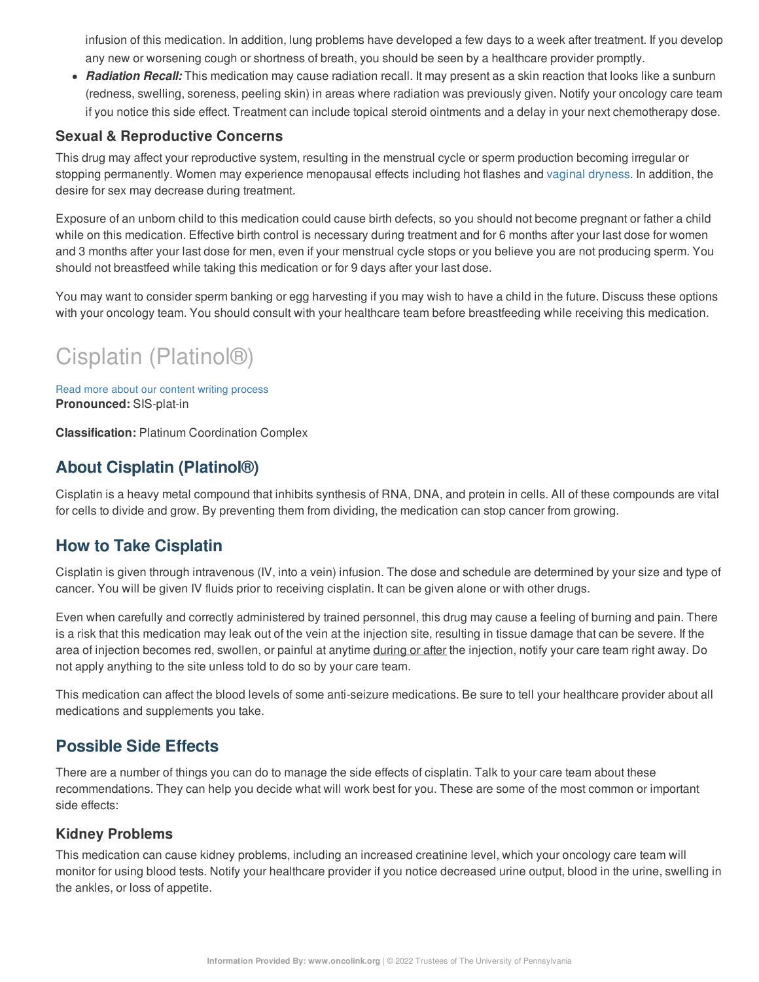infusion of this medication. In addition, lung problems have developed a few days to a week after treatment. If you develop any new or worsening cough or shortness of breath, you should be seen by a healthcare provider promptly.

*Radiation Recall:* This medication may cause radiation recall. It may present as a skin reaction that looks like a sunburn (redness, swelling, soreness, peeling skin) in areas where radiation was previously given. Notify your oncology care team if you notice this side effect. Treatment can include topical steroid ointments and a delay in your next chemotherapy dose.

#### **Sexual & Reproductive Concerns**

This drug may affect your reproductive system, resulting in the menstrual cycle or sperm production becoming irregular or stopping permanently. Women may experience menopausal effects including hot flashes and vaginal [dryness](https://www.oncolink.org/chemo-printer/20958?theme=oncolink/support/sexuality-fertility/sexuality/vaginal-dryness-and-painful-intercourse). In addition, the desire for sex may decrease during treatment.

Exposure of an unborn child to this medication could cause birth defects, so you should not become pregnant or father a child while on this medication. Effective birth control is necessary during treatment and for 6 months after your last dose for women and 3 months after your last dose for men, even if your menstrual cycle stops or you believe you are not producing sperm. You should not breastfeed while taking this medication or for 9 days after your last dose.

You may want to consider sperm banking or egg harvesting if you may wish to have a child in the future. Discuss these options with your oncology team. You should consult with your healthcare team before breastfeeding while receiving this medication.

# Cisplatin (Platinol®)

Read more about our content writing [process](https://www.oncolink.org/chemo-printer/20958?theme=oncolink/about/content) **Pronounced:** SIS-plat-in

**Classification:** Platinum Coordination Complex

# **About Cisplatin (Platinol®)**

Cisplatin is a heavy metal compound that inhibits synthesis of RNA, DNA, and protein in cells. All of these compounds are vital for cells to divide and grow. By preventing them from dividing, the medication can stop cancer from growing.

# **How to Take Cisplatin**

Cisplatin is given through intravenous (IV, into a vein) infusion. The dose and schedule are determined by your size and type of cancer. You will be given IV fluids prior to receiving cisplatin. It can be given alone or with other drugs.

Even when carefully and correctly administered by trained personnel, this drug may cause a feeling of burning and pain. There is a risk that this medication may leak out of the vein at the injection site, resulting in tissue damage that can be severe. If the area of injection becomes red, swollen, or painful at anytime during or after the injection, notify your care team right away. Do not apply anything to the site unless told to do so by your care team.

This medication can affect the blood levels of some anti-seizure medications. Be sure to tell your healthcare provider about all medications and supplements you take.

# **Possible Side Effects**

There are a number of things you can do to manage the side effects of cisplatin. Talk to your care team about these recommendations. They can help you decide what will work best for you. These are some of the most common or important side effects:

#### **Kidney Problems**

This medication can cause kidney problems, including an increased creatinine level, which your oncology care team will monitor for using blood tests. Notify your healthcare provider if you notice decreased urine output, blood in the urine, swelling in the ankles, or loss of appetite.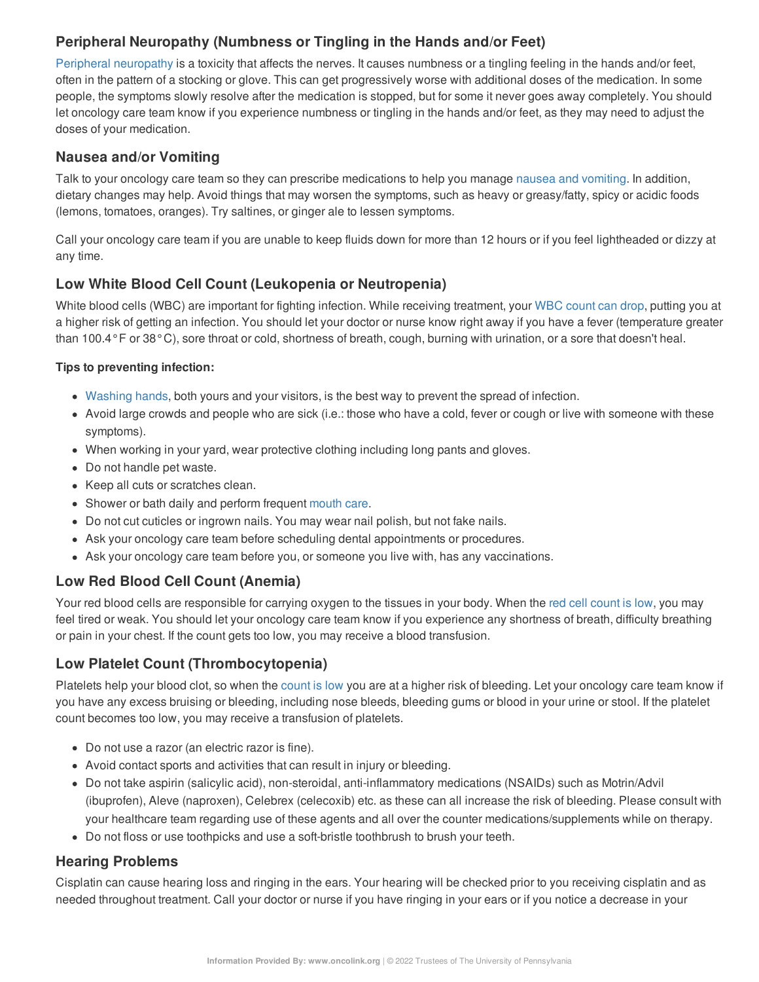# **Peripheral Neuropathy (Numbness or Tingling in the Hands and/or Feet)**

Peripheral [neuropathy](https://www.oncolink.org/chemo-printer/20958?theme=oncolink/support/side-effects/neurological-side-effects/peripheral-neuropathy-nerve-damage/peripheral-neuropathy-nerve-damage) is a toxicity that affects the nerves. It causes numbness or a tingling feeling in the hands and/or feet, often in the pattern of a stocking or glove. This can get progressively worse with additional doses of the medication. In some people, the symptoms slowly resolve after the medication is stopped, but for some it never goes away completely. You should let oncology care team know if you experience numbness or tingling in the hands and/or feet, as they may need to adjust the doses of your medication.

### **Nausea and/or Vomiting**

Talk to your oncology care team so they can prescribe medications to help you manage nausea and [vomiting](https://www.oncolink.org/chemo-printer/20958?theme=oncolink/support/side-effects/gastrointestinal-side-effects/nausea-and-vomiting). In addition, dietary changes may help. Avoid things that may worsen the symptoms, such as heavy or greasy/fatty, spicy or acidic foods (lemons, tomatoes, oranges). Try saltines, or ginger ale to lessen symptoms.

Call your oncology care team if you are unable to keep fluids down for more than 12 hours or if you feel lightheaded or dizzy at any time.

## **Low White Blood Cell Count (Leukopenia or Neutropenia)**

White blood cells (WBC) are important for fighting infection. While receiving treatment, your WBC [count](https://www.oncolink.org/chemo-printer/20958?theme=oncolink/support/side-effects/low-blood-counts/neutropenia) can drop, putting you at a higher risk of getting an infection. You should let your doctor or nurse know right away if you have a fever (temperature greater than 100.4°F or 38°C), sore throat or cold, shortness of breath, cough, burning with urination, or a sore that doesn't heal.

#### **Tips to preventing infection:**

- [Washing](https://www.oncolink.org/chemo-printer/20958?theme=oncolink/cancer-treatment/hospital-helpers/hand-hygiene-hand-washing) hands, both yours and your visitors, is the best way to prevent the spread of infection.
- Avoid large crowds and people who are sick (i.e.: those who have a cold, fever or cough or live with someone with these symptoms).
- When working in your yard, wear protective clothing including long pants and gloves.
- Do not handle pet waste.
- Keep all cuts or scratches clean.
- Shower or bath daily and perform frequent [mouth](https://www.oncolink.org/chemo-printer/20958?theme=oncolink/support/side-effects/gastrointestinal-side-effects/mucositis/mucositis-mouth-sores-oral-care-tip-sheet) care.
- Do not cut cuticles or ingrown nails. You may wear nail polish, but not fake nails.
- Ask your oncology care team before scheduling dental appointments or procedures.
- Ask your oncology care team before you, or someone you live with, has any vaccinations.

## **Low Red Blood Cell Count (Anemia)**

Your red blood cells are responsible for carrying oxygen to the tissues in your body. When the red cell [count](https://www.oncolink.org/chemo-printer/20958?theme=oncolink/support/side-effects/low-blood-counts/low-red-blood-cell-count-anemia) is low, you may feel tired or weak. You should let your oncology care team know if you experience any shortness of breath, difficulty breathing or pain in your chest. If the count gets too low, you may receive a blood transfusion.

## **Low Platelet Count (Thrombocytopenia)**

Platelets help your blood clot, so when the [count](https://www.oncolink.org/chemo-printer/20958?theme=oncolink/support/side-effects/low-blood-counts/low-platelet-count-thrombocytopenia) is low you are at a higher risk of bleeding. Let your oncology care team know if you have any excess bruising or bleeding, including nose bleeds, bleeding gums or blood in your urine or stool. If the platelet count becomes too low, you may receive a transfusion of platelets.

- Do not use a razor (an electric razor is fine).
- Avoid contact sports and activities that can result in injury or bleeding.
- Do not take aspirin (salicylic acid), non-steroidal, anti-inflammatory medications (NSAIDs) such as Motrin/Advil (ibuprofen), Aleve (naproxen), Celebrex (celecoxib) etc. as these can all increase the risk of bleeding. Please consult with your healthcare team regarding use of these agents and all over the counter medications/supplements while on therapy.
- Do not floss or use toothpicks and use a soft-bristle toothbrush to brush your teeth.

## **Hearing Problems**

Cisplatin can cause hearing loss and ringing in the ears. Your hearing will be checked prior to you receiving cisplatin and as needed throughout treatment. Call your doctor or nurse if you have ringing in your ears or if you notice a decrease in your